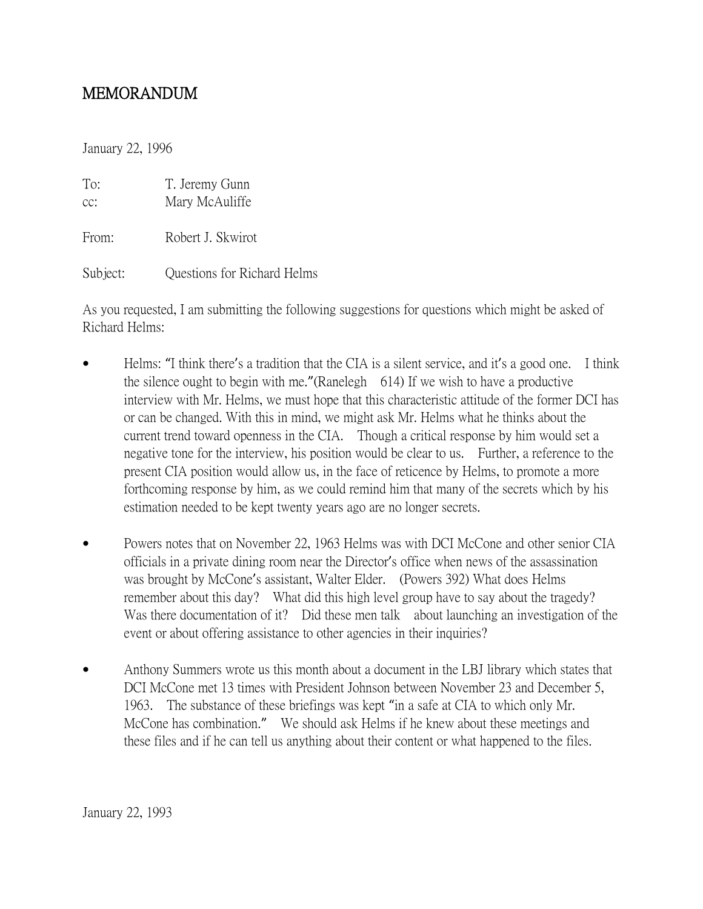## MEMORANDUM

January 22, 1996

| To:   | T. Jeremy Gunn    |
|-------|-------------------|
| cc:   | Mary McAuliffe    |
| From: | Robert J. Skwirot |

Subject: Questions for Richard Helms

As you requested, I am submitting the following suggestions for questions which might be asked of Richard Helms:

- Helms: "I think there's a tradition that the CIA is a silent service, and it's a good one. I think the silence ought to begin with me."(Ranelegh 614) If we wish to have a productive interview with Mr. Helms, we must hope that this characteristic attitude of the former DCI has or can be changed. With this in mind, we might ask Mr. Helms what he thinks about the current trend toward openness in the CIA. Though a critical response by him would set a negative tone for the interview, his position would be clear to us. Further, a reference to the present CIA position would allow us, in the face of reticence by Helms, to promote a more forthcoming response by him, as we could remind him that many of the secrets which by his estimation needed to be kept twenty years ago are no longer secrets.
- Powers notes that on November 22, 1963 Helms was with DCI McCone and other senior CIA officials in a private dining room near the Director's office when news of the assassination was brought by McCone's assistant, Walter Elder. (Powers 392) What does Helms remember about this day? What did this high level group have to say about the tragedy? Was there documentation of it? Did these men talk about launching an investigation of the event or about offering assistance to other agencies in their inquiries?
- Anthony Summers wrote us this month about a document in the LBJ library which states that DCI McCone met 13 times with President Johnson between November 23 and December 5, 1963. The substance of these briefings was kept "in a safe at CIA to which only Mr. McCone has combination." We should ask Helms if he knew about these meetings and these files and if he can tell us anything about their content or what happened to the files.